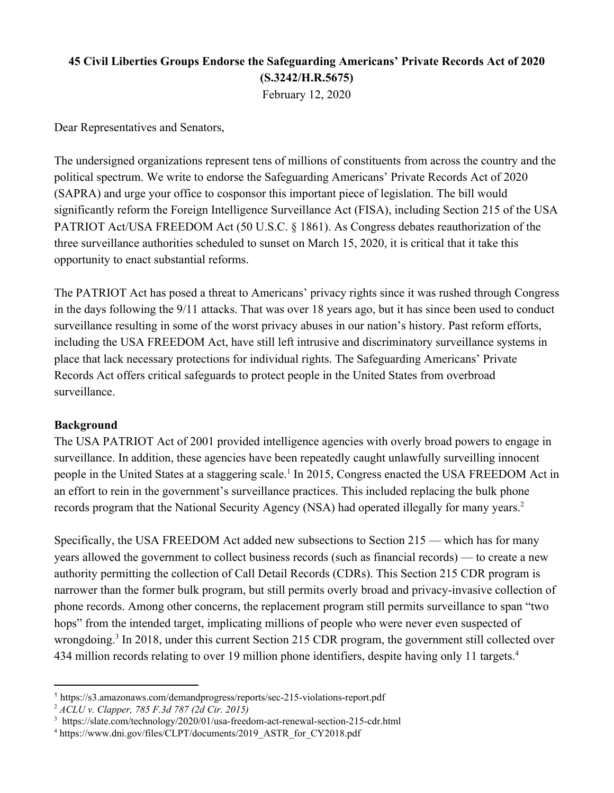## **45 Civil Liberties Groups Endorse the Safeguarding Americans' Private Records Act of 2020 (S.3242/H.R.5675)** February 12, 2020

Dear Representatives and Senators,

The undersigned organizations represent tens of millions of constituents from across the country and the political spectrum. We write to endorse the Safeguarding Americans' Private Records Act of 2020 (SAPRA) and urge your office to cosponsor this important piece of legislation. The bill would significantly reform the Foreign Intelligence Surveillance Act (FISA), including Section 215 of the USA PATRIOT Act/USA FREEDOM Act (50 U.S.C. § 1861). As Congress debates reauthorization of the three surveillance authorities scheduled to sunset on March 15, 2020, it is critical that it take this opportunity to enact substantial reforms.

The PATRIOT Act has posed a threat to Americans' privacy rights since it was rushed through Congress in the days following the 9/11 attacks. That was over 18 years ago, but it has since been used to conduct surveillance resulting in some of the worst privacy abuses in our nation's history. Past reform efforts, including the USA FREEDOM Act, have still left intrusive and discriminatory surveillance systems in place that lack necessary protections for individual rights. The Safeguarding Americans' Private Records Act offers critical safeguards to protect people in the United States from overbroad surveillance.

## **Background**

The USA PATRIOT Act of 2001 provided intelligence agencies with overly broad powers to engage in surveillance. In addition, these agencies have been repeatedly caught unlawfully surveilling innocent people in the United States at a staggering scale.<sup>1</sup> In 2015, Congress enacted the USA FREEDOM Act in an effort to rein in the government's surveillance practices. This included replacing the bulk phone records program that the National Security Agency (NSA) had operated illegally for many years.<sup>2</sup>

Specifically, the USA FREEDOM Act added new subsections to Section 215 — which has for many years allowed the government to collect business records (such as financial records) — to create a new authority permitting the collection of Call Detail Records (CDRs). This Section 215 CDR program is narrower than the former bulk program, but still permits overly broad and privacy-invasive collection of phone records. Among other concerns, the replacement program still permits surveillance to span "two hops" from the intended target, implicating millions of people who were never even suspected of wrongdoing.<sup>3</sup> In 2018, under this current Section 215 CDR program, the government still collected over 434 million records relating to over 19 million phone identifiers, despite having only 11 targets.<sup>4</sup>

<sup>1</sup> https://s3.amazonaws.com/demandprogress/reports/sec-215-violations-report.pdf

<sup>2</sup> *ACLU v. Clapper, 785 F.3d 787 (2d Cir. 2015)*

<sup>&</sup>lt;sup>3</sup> https://slate.com/technology/2020/01/usa-freedom-act-renewal-section-215-cdr.html

<sup>4</sup> https://www.dni.gov/files/CLPT/documents/2019\_ASTR\_for\_CY2018.pdf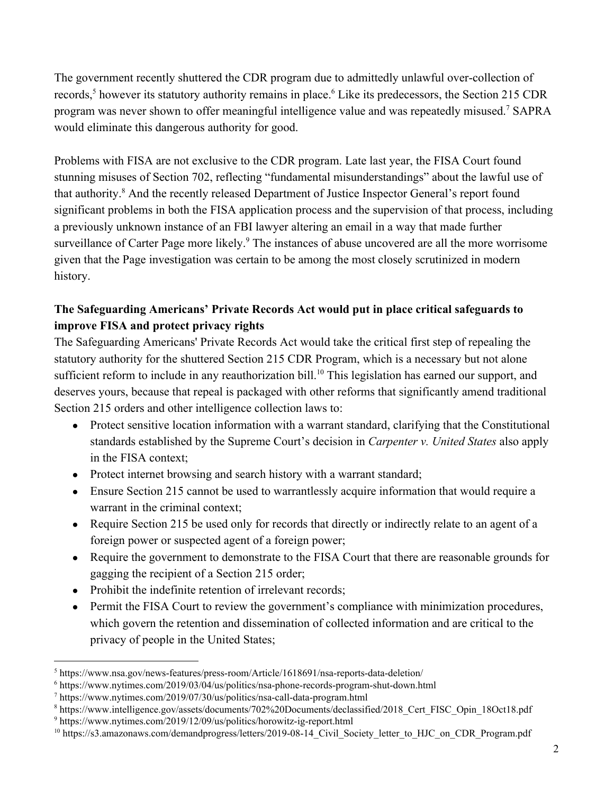The government recently shuttered the CDR program due to admittedly unlawful over-collection of records,<sup>5</sup> however its statutory authority remains in place.<sup>6</sup> Like its predecessors, the Section 215 CDR program was never shown to offer meaningful intelligence value and was repeatedly misused.<sup>7</sup> SAPRA would eliminate this dangerous authority for good.

Problems with FISA are not exclusive to the CDR program. Late last year, the FISA Court found stunning misuses of Section 702, reflecting "fundamental misunderstandings" about the lawful use of that authority.<sup>8</sup> And the recently released Department of Justice Inspector General's report found significant problems in both the FISA application process and the supervision of that process, including a previously unknown instance of an FBI lawyer altering an email in a way that made further surveillance of Carter Page more likely.<sup>9</sup> The instances of abuse uncovered are all the more worrisome given that the Page investigation was certain to be among the most closely scrutinized in modern history.

## **The Safeguarding Americans' Private Records Act would put in place critical safeguards to improve FISA and protect privacy rights**

The Safeguarding Americans' Private Records Act would take the critical first step of repealing the statutory authority for the shuttered Section 215 CDR Program, which is a necessary but not alone sufficient reform to include in any reauthorization bill.<sup>10</sup> This legislation has earned our support, and deserves yours, because that repeal is packaged with other reforms that significantly amend traditional Section 215 orders and other intelligence collection laws to:

- Protect sensitive location information with a warrant standard, clarifying that the Constitutional standards established by the Supreme Court's decision in *Carpenter v. United States* also apply in the FISA context;
- Protect internet browsing and search history with a warrant standard;
- Ensure Section 215 cannot be used to warrantlessly acquire information that would require a warrant in the criminal context;
- Require Section 215 be used only for records that directly or indirectly relate to an agent of a foreign power or suspected agent of a foreign power;
- Require the government to demonstrate to the FISA Court that there are reasonable grounds for gagging the recipient of a Section 215 order;
- Prohibit the indefinite retention of irrelevant records;
- Permit the FISA Court to review the government's compliance with minimization procedures, which govern the retention and dissemination of collected information and are critical to the privacy of people in the United States;

<sup>5</sup> https://www.nsa.gov/news-features/press-room/Article/1618691/nsa-reports-data-deletion/

<sup>6</sup> https://www.nytimes.com/2019/03/04/us/politics/nsa-phone-records-program-shut-down.html

<sup>7</sup> https://www.nytimes.com/2019/07/30/us/politics/nsa-call-data-program.html

<sup>8</sup> https://www.intelligence.gov/assets/documents/702%20Documents/declassified/2018\_Cert\_FISC\_Opin\_18Oct18.pdf

<sup>9</sup> https://www.nytimes.com/2019/12/09/us/politics/horowitz-ig-report.html

<sup>&</sup>lt;sup>10</sup> https://s3.amazonaws.com/demandprogress/letters/2019-08-14 Civil Society letter to HJC on CDR Program.pdf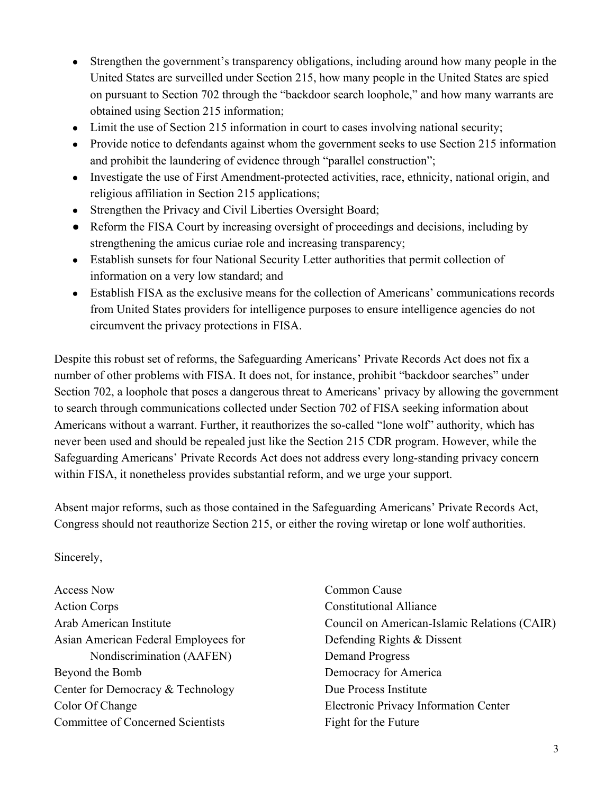- Strengthen the government's transparency obligations, including around how many people in the United States are surveilled under Section 215, how many people in the United States are spied on pursuant to Section 702 through the "backdoor search loophole," and how many warrants are obtained using Section 215 information;
- Limit the use of Section 215 information in court to cases involving national security;
- Provide notice to defendants against whom the government seeks to use Section 215 information and prohibit the laundering of evidence through "parallel construction";
- Investigate the use of First Amendment-protected activities, race, ethnicity, national origin, and religious affiliation in Section 215 applications;
- Strengthen the Privacy and Civil Liberties Oversight Board;
- Reform the FISA Court by increasing oversight of proceedings and decisions, including by strengthening the amicus curiae role and increasing transparency;
- Establish sunsets for four National Security Letter authorities that permit collection of information on a very low standard; and
- Establish FISA as the exclusive means for the collection of Americans' communications records from United States providers for intelligence purposes to ensure intelligence agencies do not circumvent the privacy protections in FISA.

Despite this robust set of reforms, the Safeguarding Americans' Private Records Act does not fix a number of other problems with FISA. It does not, for instance, prohibit "backdoor searches" under Section 702, a loophole that poses a dangerous threat to Americans' privacy by allowing the government to search through communications collected under Section 702 of FISA seeking information about Americans without a warrant. Further, it reauthorizes the so-called "lone wolf" authority, which has never been used and should be repealed just like the Section 215 CDR program. However, while the Safeguarding Americans' Private Records Act does not address every long-standing privacy concern within FISA, it nonetheless provides substantial reform, and we urge your support.

Absent major reforms, such as those contained in the Safeguarding Americans' Private Records Act, Congress should not reauthorize Section 215, or either the roving wiretap or lone wolf authorities.

## Sincerely,

Access Now Action Corps Arab American Institute Asian American Federal Employees for Nondiscrimination (AAFEN) Beyond the Bomb Center for Democracy & Technology Color Of Change Committee of Concerned Scientists

Common Cause Constitutional Alliance Council on American-Islamic Relations (CAIR) Defending Rights & Dissent Demand Progress Democracy for America Due Process Institute Electronic Privacy Information Center Fight for the Future